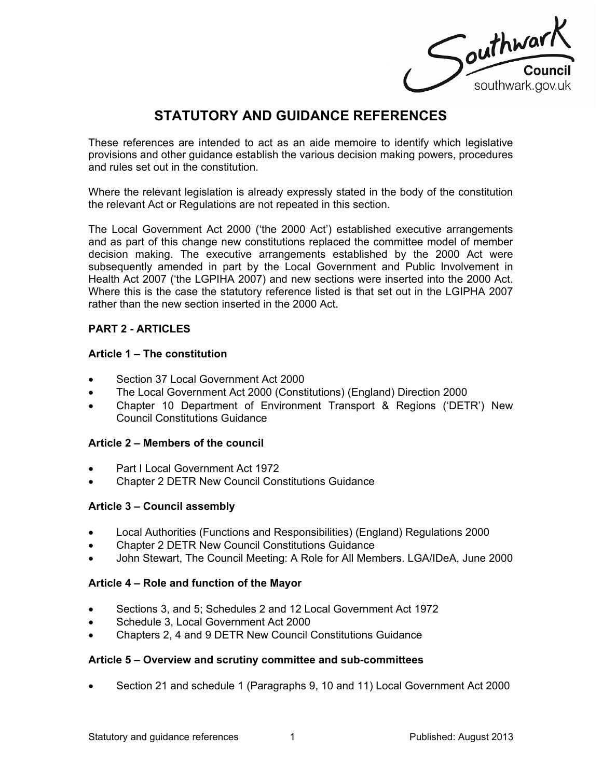Southwark Council<br>southwark.gov.uk

# **STATUTORY AND GUIDANCE REFERENCES**

These references are intended to act as an aide memoire to identify which legislative provisions and other guidance establish the various decision making powers, procedures and rules set out in the constitution.

Where the relevant legislation is already expressly stated in the body of the constitution the relevant Act or Regulations are not repeated in this section.

The Local Government Act 2000 ('the 2000 Act') established executive arrangements and as part of this change new constitutions replaced the committee model of member decision making. The executive arrangements established by the 2000 Act were subsequently amended in part by the Local Government and Public Involvement in Health Act 2007 ('the LGPIHA 2007) and new sections were inserted into the 2000 Act. Where this is the case the statutory reference listed is that set out in the LGIPHA 2007 rather than the new section inserted in the 2000 Act.

# **PART 2 - ARTICLES**

# **Article 1 – The constitution**

- Section 37 Local Government Act 2000
- The Local Government Act 2000 (Constitutions) (England) Direction 2000
- Chapter 10 Department of Environment Transport & Regions ('DETR') New Council Constitutions Guidance

# **Article 2 – Members of the council**

- Part I Local Government Act 1972
- Chapter 2 DETR New Council Constitutions Guidance

#### **Article 3 – Council assembly**

- Local Authorities (Functions and Responsibilities) (England) Regulations 2000
- Chapter 2 DETR New Council Constitutions Guidance
- John Stewart, The Council Meeting: A Role for All Members. LGA/IDeA, June 2000

#### **Article 4 – Role and function of the Mayor**

- Sections 3, and 5; Schedules 2 and 12 Local Government Act 1972
- Schedule 3, Local Government Act 2000
- Chapters 2, 4 and 9 DETR New Council Constitutions Guidance

#### **Article 5 – Overview and scrutiny committee and sub-committees**

Section 21 and schedule 1 (Paragraphs 9, 10 and 11) Local Government Act 2000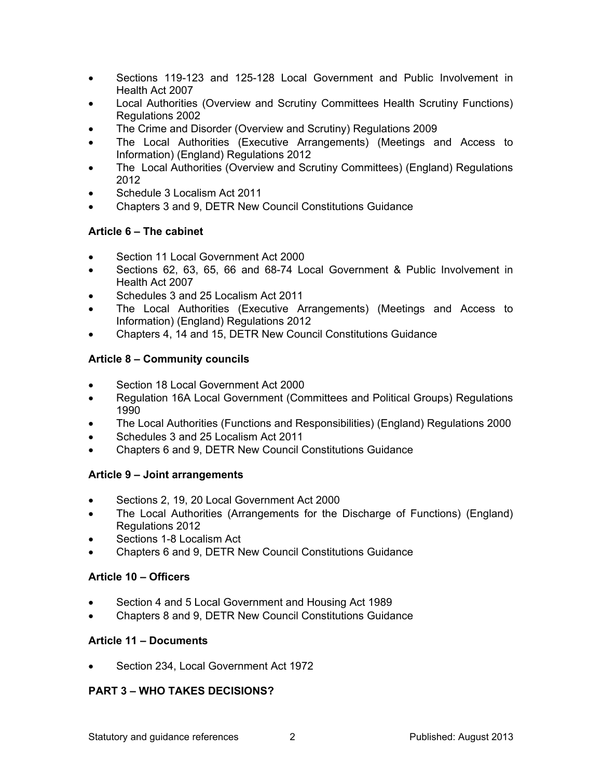- Sections 119-123 and 125-128 Local Government and Public Involvement in Health Act 2007
- Local Authorities (Overview and Scrutiny Committees Health Scrutiny Functions) Regulations 2002
- The Crime and Disorder (Overview and Scrutiny) Regulations 2009
- The Local Authorities (Executive Arrangements) (Meetings and Access to Information) (England) Regulations 2012
- The Local Authorities (Overview and Scrutiny Committees) (England) Regulations 2012
- Schedule 3 Localism Act 2011
- Chapters 3 and 9, DETR New Council Constitutions Guidance

# **Article 6 – The cabinet**

- Section 11 Local Government Act 2000
- Sections 62, 63, 65, 66 and 68-74 Local Government & Public Involvement in Health Act 2007
- Schedules 3 and 25 Localism Act 2011
- The Local Authorities (Executive Arrangements) (Meetings and Access to Information) (England) Regulations 2012
- Chapters 4, 14 and 15, DETR New Council Constitutions Guidance

# **Article 8 – Community councils**

- Section 18 Local Government Act 2000
- Regulation 16A Local Government (Committees and Political Groups) Regulations 1990
- The Local Authorities (Functions and Responsibilities) (England) Regulations 2000
- Schedules 3 and 25 Localism Act 2011
- Chapters 6 and 9, DETR New Council Constitutions Guidance

# **Article 9 – Joint arrangements**

- Sections 2, 19, 20 Local Government Act 2000
- The Local Authorities (Arrangements for the Discharge of Functions) (England) Regulations 2012
- Sections 1-8 Localism Act
- Chapters 6 and 9, DETR New Council Constitutions Guidance

# **Article 10 – Officers**

- Section 4 and 5 Local Government and Housing Act 1989
- Chapters 8 and 9, DETR New Council Constitutions Guidance

# **Article 11 – Documents**

Section 234, Local Government Act 1972

# **PART 3 – WHO TAKES DECISIONS?**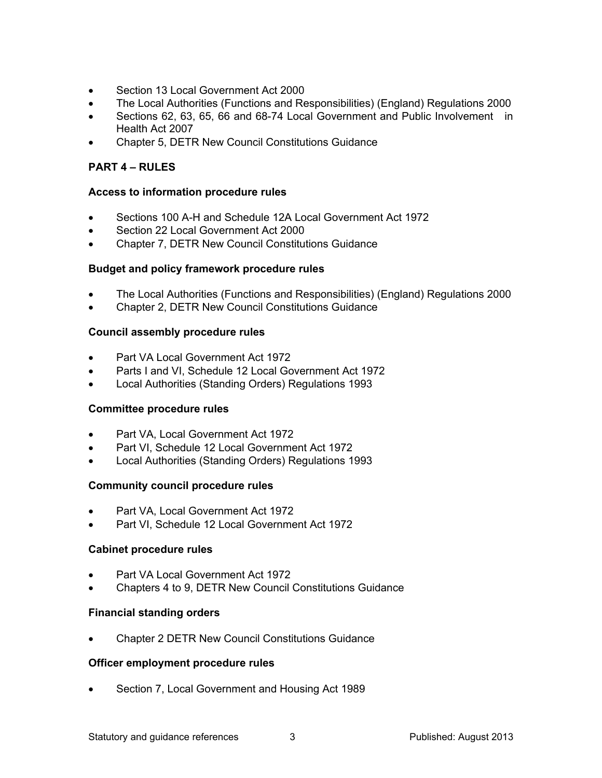- Section 13 Local Government Act 2000
- The Local Authorities (Functions and Responsibilities) (England) Regulations 2000
- Sections 62, 63, 65, 66 and 68-74 Local Government and Public Involvement in Health Act 2007
- Chapter 5, DETR New Council Constitutions Guidance

# **PART 4 – RULES**

# **Access to information procedure rules**

- Sections 100 A-H and Schedule 12A Local Government Act 1972
- Section 22 Local Government Act 2000
- Chapter 7, DETR New Council Constitutions Guidance

# **Budget and policy framework procedure rules**

- The Local Authorities (Functions and Responsibilities) (England) Regulations 2000
- Chapter 2, DETR New Council Constitutions Guidance

# **Council assembly procedure rules**

- Part VA Local Government Act 1972
- Parts I and VI, Schedule 12 Local Government Act 1972
- Local Authorities (Standing Orders) Regulations 1993

# **Committee procedure rules**

- Part VA, Local Government Act 1972
- Part VI, Schedule 12 Local Government Act 1972
- Local Authorities (Standing Orders) Regulations 1993

# **Community council procedure rules**

- Part VA, Local Government Act 1972
- Part VI, Schedule 12 Local Government Act 1972

# **Cabinet procedure rules**

- Part VA Local Government Act 1972
- Chapters 4 to 9, DETR New Council Constitutions Guidance

# **Financial standing orders**

Chapter 2 DETR New Council Constitutions Guidance

# **Officer employment procedure rules**

Section 7, Local Government and Housing Act 1989